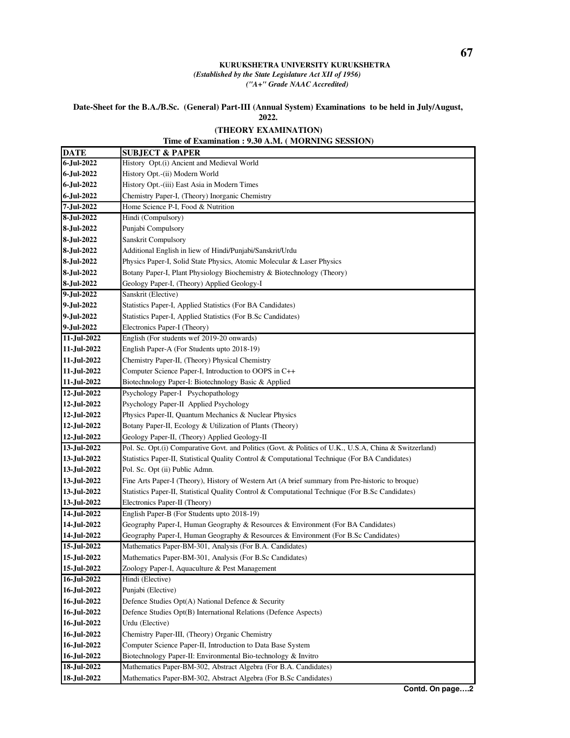## **KURUKSHETRA UNIVERSITY KURUKSHETRA** *(Established by the State Legislature Act XII of 1956) ("A+" Grade NAAC Accredited)*

## **Date-Sheet for the B.A./B.Sc. (General) Part-III (Annual System) Examinations to be held in July/August, 2022.**

## **Time of Examination : 9.30 A.M. ( MORNING SESSION) (THEORY EXAMINATION)**

| <b>DATE</b> | <b>SUBJECT &amp; PAPER</b>                                                                             |
|-------------|--------------------------------------------------------------------------------------------------------|
| 6-Jul-2022  | History Opt.(i) Ancient and Medieval World                                                             |
| 6-Jul-2022  | History Opt.-(ii) Modern World                                                                         |
| 6-Jul-2022  | History Opt.-(iii) East Asia in Modern Times                                                           |
| 6-Jul-2022  | Chemistry Paper-I, (Theory) Inorganic Chemistry                                                        |
| 7-Jul-2022  | Home Science P-I, Food & Nutrition                                                                     |
| 8-Jul-2022  | Hindi (Compulsory)                                                                                     |
| 8-Jul-2022  | Punjabi Compulsory                                                                                     |
| 8-Jul-2022  | Sanskrit Compulsory                                                                                    |
| 8-Jul-2022  | Additional English in liew of Hindi/Punjabi/Sanskrit/Urdu                                              |
| 8-Jul-2022  | Physics Paper-I, Solid State Physics, Atomic Molecular & Laser Physics                                 |
| 8-Jul-2022  | Botany Paper-I, Plant Physiology Biochemistry & Biotechnology (Theory)                                 |
| 8-Jul-2022  | Geology Paper-I, (Theory) Applied Geology-I                                                            |
| 9-Jul-2022  | Sanskrit (Elective)                                                                                    |
| 9-Jul-2022  | Statistics Paper-I, Applied Statistics (For BA Candidates)                                             |
| 9-Jul-2022  | Statistics Paper-I, Applied Statistics (For B.Sc Candidates)                                           |
| 9-Jul-2022  | Electronics Paper-I (Theory)                                                                           |
| 11-Jul-2022 | English (For students wef 2019-20 onwards)                                                             |
| 11-Jul-2022 | English Paper-A (For Students upto 2018-19)                                                            |
| 11-Jul-2022 | Chemistry Paper-II, (Theory) Physical Chemistry                                                        |
| 11-Jul-2022 | Computer Science Paper-I, Introduction to OOPS in C++                                                  |
| 11-Jul-2022 | Biotechnology Paper-I: Biotechnology Basic & Applied                                                   |
| 12-Jul-2022 | Psychology Paper-I Psychopathology                                                                     |
| 12-Jul-2022 | Psychology Paper-II Applied Psychology                                                                 |
| 12-Jul-2022 | Physics Paper-II, Quantum Mechanics & Nuclear Physics                                                  |
| 12-Jul-2022 | Botany Paper-II, Ecology & Utilization of Plants (Theory)                                              |
| 12-Jul-2022 | Geology Paper-II, (Theory) Applied Geology-II                                                          |
| 13-Jul-2022 | Pol. Sc. Opt.(i) Comparative Govt. and Politics (Govt. & Politics of U.K., U.S.A, China & Switzerland) |
| 13-Jul-2022 | Statistics Paper-II, Statistical Quality Control & Computational Technique (For BA Candidates)         |
| 13-Jul-2022 | Pol. Sc. Opt (ii) Public Admn.                                                                         |
| 13-Jul-2022 | Fine Arts Paper-I (Theory), History of Western Art (A brief summary from Pre-historic to broque)       |
| 13-Jul-2022 | Statistics Paper-II, Statistical Quality Control & Computational Technique (For B.Sc Candidates)       |
| 13-Jul-2022 | Electronics Paper-II (Theory)                                                                          |
| 14-Jul-2022 | English Paper-B (For Students upto 2018-19)                                                            |
| 14-Jul-2022 | Geography Paper-I, Human Geography & Resources & Environment (For BA Candidates)                       |
| 14-Jul-2022 | Geography Paper-I, Human Geography & Resources & Environment (For B.Sc Candidates)                     |
| 15-Jul-2022 | Mathematics Paper-BM-301, Analysis (For B.A. Candidates)                                               |
| 15-Jul-2022 | Mathematics Paper-BM-301, Analysis (For B.Sc Candidates)                                               |
| 15-Jul-2022 | Zoology Paper-I, Aquaculture & Pest Management                                                         |
| 16-Jul-2022 | Hindi (Elective)                                                                                       |
| 16-Jul-2022 | Punjabi (Elective)                                                                                     |
| 16-Jul-2022 | Defence Studies Opt(A) National Defence & Security                                                     |
| 16-Jul-2022 | Defence Studies Opt(B) International Relations (Defence Aspects)                                       |
| 16-Jul-2022 | Urdu (Elective)                                                                                        |
| 16-Jul-2022 | Chemistry Paper-III, (Theory) Organic Chemistry                                                        |
| 16-Jul-2022 | Computer Science Paper-II, Introduction to Data Base System                                            |
| 16-Jul-2022 | Biotechnology Paper-II: Environmental Bio-technology & Invitro                                         |
| 18-Jul-2022 | Mathematics Paper-BM-302, Abstract Algebra (For B.A. Candidates)                                       |
| 18-Jul-2022 | Mathematics Paper-BM-302, Abstract Algebra (For B.Sc Candidates)                                       |